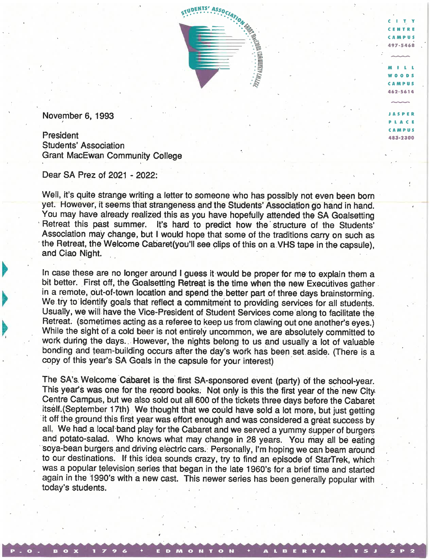

CITY CENTRE CAMPUS 497-5468

 $\begin{array}{c}\n\cdots \\
\hline\nm+1\n\end{array}$ WOODS CAMPUS 462-5614

JASPER P I AC E CAMPUS 483-2300

November 6, 1993

President Students' Association Grant MacEwan Community College

Dear SA Prez of 2021 - 2022:

Well, it's quite strange writing a letter to someone who has possibly not even been born yet. However, it seems that strangeness and the Students' Association go hand in hand. You may have already realized this as you have hopefully attended the SA Goalsetting Retreat this past summer. It's hard to predict how the structure of the Students' Association may change, but I would hope that some of the traditions carry on such as the Retreat, the Welcome Cabaret(you'll see clips of this on a VHS tape in the capsule), and Ciao Night

In case these are no longer around I guess it would be proper for me to explain them a bit better. First off, the Goalsetting Retreat is the time when the new Executives gather in a remote, out-of-town location and spend the better part of three days brainstorming. We try to identify goals that reflect a commitment to providing services for all students. Usually, we will have the Vice-President of Student Services come along to facilitate the Retreat. (sometimes acting as a referee to keep us from clawing out one another's eyes.) While the sight of a cold beer is not entirely uncommon, we are absolutely committed to work during the days.. However, the nights belong to us and usually a lot of valuable bonding and team-building occurs after the day's work has been set aside. (There is a copy of this year's SA Goals in the capsule for your interest)

The SA's. Welcome Cabaret is the first SA-sponsored event (party) of the school-year. This year's was one for the record books. Not only is this the first year of the new City Centre Campus, but we also sold out all 600 of the tickets three days before the Cabaret itself. (September 17th) We thought that we could have sold a lot more, but just getting it off the ground this first year was effort enough and was considered a great success by all, We had a local band play for the Cabaret and we served a yummy supper of burgers and potato-salad. Who knows what may change in 28 years. You may all be eating soya-bean burgers and driving electric cars. Personally, I'm hoping we can beam around to our destinations. If this idea sounds crazy, try to find an episode of StarTrek, which was a popular television series that began in the late 1960's for a brief time and started again in the 1990's with a new cast. This newer series has been generally popular with today's students.

P. O. BOX 1796 **EDMONTON + ALBERTA + T5J** 2 P 2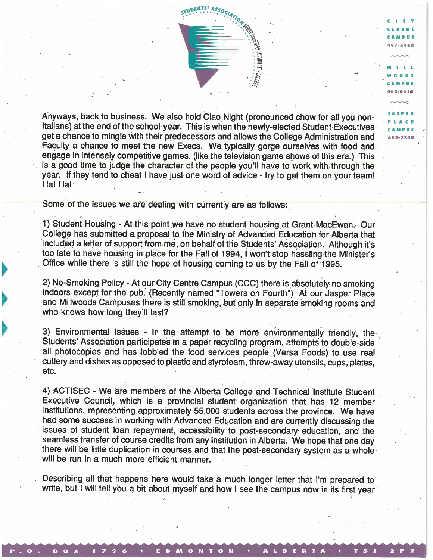Anyways, back to business. We also hold Ciao Night (pronounced chow for all you non-Italians) at the end of the school-year. This is when the newly-elected Student Executives get a chance to mingle with their predecessors and allows the College Administration and Faculty a chance to meet the new Execs. We typically gorge ourselves with food and engage in intensely competitive games. (like the television game shows of this era.) This is a good time to judge the character of the people you'll have to work with, through the year. If they tend to cheat I have just one word of advice - try to get them on your team! Ha! Ha!

STUDENTS ASSOCIATE

**N**<br>ERRED

 $\frac{1}{2}$  :  $\frac{1}{2}$  :  $\frac{1}{2}$  :  $\frac{1}{2}$  :  $\frac{1}{2}$  :  $\frac{1}{2}$  :  $\frac{1}{2}$  :  $\frac{1}{2}$  :  $\frac{1}{2}$  :  $\frac{1}{2}$  :  $\frac{1}{2}$  :  $\frac{1}{2}$  :  $\frac{1}{2}$  :  $\frac{1}{2}$  :  $\frac{1}{2}$  :  $\frac{1}{2}$  :  $\frac{1}{2}$  :  $\frac{1}{2}$  :  $\frac{1$ 

T<sub>N</sub> CENTRE CAMPUS 497-5468

WOODS CAMPUS 462-5614

IAS P E R P IA C E CAMPUS 483-2300

Some of the issues we are dealing with currently are as follows:

-\*

**BOX 1796** 

1) Student Housing - At this point we have no student housing at Grant MacEwan. Our College has submitted a proposal to the Ministry of Advanced Education for Alberta that included a letter of support from me, on behalf of the Students' Association. Although it's too late to have housing in place for the Fall of 1994, 1 won't stop hassling the Minister's Office while there is still the hope of housing coming to us by the. Fall of 1995.

2) No-Smoking Policy - At our City Centre Campus (CCC) there is absolutely no smoking indoors except for the pub. (Recently named "Towers on Fourth") At our Jasper Place and Millwoods Campuses there is still smoking, but only in separate smoking rooms and who knows how long they'll last?

3) Environmental Issues - In the attempt to be more environmentally friendly, the Students' Association participates in a paper recycling program, attempts to double-side all photocopies and has lobbied the food Services people (Versa Foods) to use real cutlery and dishes as opposed to plastic and styrbfoam, throw-away utensils, cups, plat'es, etc.

4) ACTISEC - We are members of the Alberta College and Technical Institute Student Executive Council, which is a provincial student organization that has 12 member institutions, representing approximately 55, 000 students across the province. We have had some success in working with Advanced Education and are currently discussing the issues of student loan repayment, accessibility to post-secondary education, and the seamless transfer of course credits from any institution in Alberta. We hope that one day there will be little duplication in courses and that the post-secondary system as a whole will be run in a much more efficient manner.

Describing all that happens here would take a much longer letter that I'm prepared to write, but I will tell you a bit about myself and how I see the campus now in its first year

ED MONTON + ALBERTA + TSJ 2 P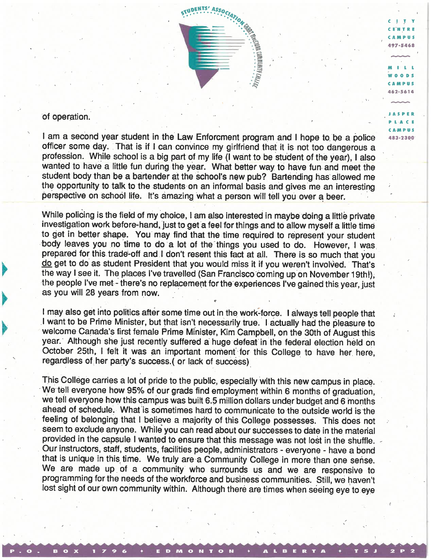

C<sub>IT</sub> C EN T R E CAMPUS 497-54A8

 $\begin{array}{c}\n\bullet \\
\bullet \\
\bullet \\
\bullet \\
\bullet \\
\bullet\n\end{array}$ WOODS CAMPUS 462-5614

JASPER Pl A C E CAMPUS 483-2300

## of operation.

lama second year student in the Law Enforcment program and I hope to, be a police officer some day. That is if I can convince my girlfriend that it is not too dangerous a profession. While school is a big part of my life (I want to be student of the year), I also wanted to have a little fun during the year. What better way to have fun and meet the student body than be a bartender at the school's new pub? Bartending has allowed me the opportunity to talk to the students on an informal basis and gives me an interesting perspective on School life. It's amazing what a person will tell you over a beer.

While policing is the field of my choice, I am also interested in maybe doing a little private investigation work before-hand, just to get a feel for things and to allow myself a little time to get in better shape. You may find that the time required to represent your student body leaves you no time to do a lot of the things you used to do. However, I was prepared for this trade-off and I don't resent this fact at all. There is so much that you do get to do as student President that you would miss it if you weren't involved. That's the way I see it. The places I've travelled (San Francisco coming up on November 19th!), the people I've met-there's no replacement for the experiences I've gained this year, just as you will 28 years from now.

I may also get into politics after some time out in the work-force. I always tell people that I want to be Prime Minister, but that isn't necessarily true. I actually had the pleasure to welcome Canada's first female Prime Minister, Kirn Campbell, on the 30th of August this year. Although she just recently suffered a huge defeat in the federal election held on October 25th, I felt it was an important moment' for this College to have her here, regardless of her party's success. ( or lack of success)

e

This College carries a lot of pride to the public, especially with this new campus in place. We tell everyone how 95% of our grads find employment within 6 months of graduation, we tell everyone how this campus was built 6.5 million dollars under budget and 6 months ahead of schedule. What is sometimes hard to communicate to the outside world is the feeling of belonging that I believe a majority of this College possesses. This does not seem to exclude anyone. While you can read about our successes to date in the material provided in the capsule I wanted to ensure that this message was not lost in the shuffle. Our instructors, staff, students, facilities people, administrators - everyone - have a bond that is unique in this time. We truly are a Community College in more than one sense. We are made up of a community who surrounds us and we are responsive to programming for the needs of the workforce and business communities. Still, we haven't lost sight of our own community within. Although there are times when seeing eye to eye

P . O . B O X 1 7 9 6 + E D M O N T O N + A L B E R T A + T 5 J 2 P 2